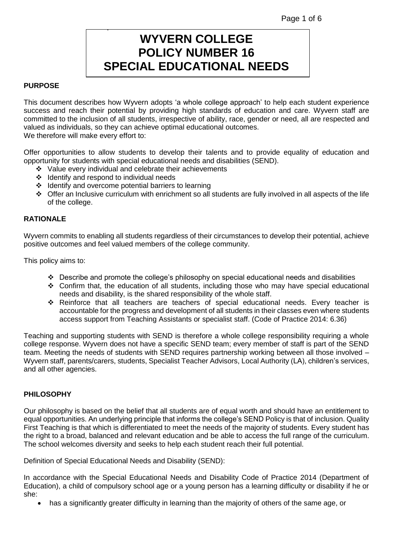# **WYVERN COLLEGE POLICY NUMBER 16 SPECIAL EDUCATIONAL NEEDS**

## **PURPOSE**

This document describes how Wyvern adopts 'a whole college approach' to help each student experience success and reach their potential by providing high standards of education and care. Wyvern staff are committed to the inclusion of all students, irrespective of ability, race, gender or need, all are respected and valued as individuals, so they can achieve optimal educational outcomes. We therefore will make every effort to:

Offer opportunities to allow students to develop their talents and to provide equality of education and opportunity for students with special educational needs and disabilities (SEND).

- ❖ Value every individual and celebrate their achievements
- ❖ Identify and respond to individual needs

.

- ❖ Identify and overcome potential barriers to learning
- ❖ Offer an Inclusive curriculum with enrichment so all students are fully involved in all aspects of the life of the college.

## **RATIONALE**

Wyvern commits to enabling all students regardless of their circumstances to develop their potential, achieve positive outcomes and feel valued members of the college community.

This policy aims to:

- ❖ Describe and promote the college's philosophy on special educational needs and disabilities
- ❖ Confirm that, the education of all students, including those who may have special educational needs and disability, is the shared responsibility of the whole staff.
- ❖ Reinforce that all teachers are teachers of special educational needs. Every teacher is accountable for the progress and development of all students in their classes even where students access support from Teaching Assistants or specialist staff. (Code of Practice 2014: 6.36)

Teaching and supporting students with SEND is therefore a whole college responsibility requiring a whole college response. Wyvern does not have a specific SEND team; every member of staff is part of the SEND team. Meeting the needs of students with SEND requires partnership working between all those involved – Wyvern staff, parents/carers, students, Specialist Teacher Advisors, Local Authority (LA), children's services, and all other agencies.

#### **PHILOSOPHY**

Our philosophy is based on the belief that all students are of equal worth and should have an entitlement to equal opportunities. An underlying principle that informs the college's SEND Policy is that of inclusion. Quality First Teaching is that which is differentiated to meet the needs of the majority of students. Every student has the right to a broad, balanced and relevant education and be able to access the full range of the curriculum. The school welcomes diversity and seeks to help each student reach their full potential.

Definition of Special Educational Needs and Disability (SEND):

In accordance with the Special Educational Needs and Disability Code of Practice 2014 (Department of Education), a child of compulsory school age or a young person has a learning difficulty or disability if he or she:

• has a significantly greater difficulty in learning than the majority of others of the same age, or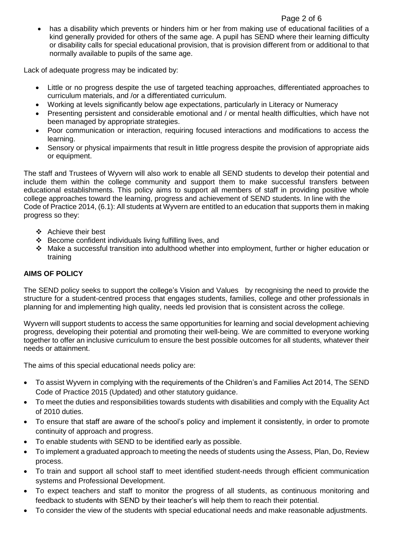## Page 2 of 6

• has a disability which prevents or hinders him or her from making use of educational facilities of a kind generally provided for others of the same age. A pupil has SEND where their learning difficulty or disability calls for special educational provision, that is provision different from or additional to that normally available to pupils of the same age.

Lack of adequate progress may be indicated by:

- Little or no progress despite the use of targeted teaching approaches, differentiated approaches to curriculum materials, and /or a differentiated curriculum.
- Working at levels significantly below age expectations, particularly in Literacy or Numeracy
- Presenting persistent and considerable emotional and / or mental health difficulties, which have not been managed by appropriate strategies.
- Poor communication or interaction, requiring focused interactions and modifications to access the learning.
- Sensory or physical impairments that result in little progress despite the provision of appropriate aids or equipment.

The staff and Trustees of Wyvern will also work to enable all SEND students to develop their potential and include them within the college community and support them to make successful transfers between educational establishments. This policy aims to support all members of staff in providing positive whole college approaches toward the learning, progress and achievement of SEND students. In line with the Code of Practice 2014, (6.1): All students at Wyvern are entitled to an education that supports them in making progress so they:

- ❖ Achieve their best
- ❖ Become confident individuals living fulfilling lives, and
- ❖ Make a successful transition into adulthood whether into employment, further or higher education or training

# **AIMS OF POLICY**

The SEND policy seeks to support the college's Vision and Values by recognising the need to provide the structure for a student-centred process that engages students, families, college and other professionals in planning for and implementing high quality, needs led provision that is consistent across the college.

Wyvern will support students to access the same opportunities for learning and social development achieving progress, developing their potential and promoting their well-being. We are committed to everyone working together to offer an inclusive curriculum to ensure the best possible outcomes for all students, whatever their needs or attainment.

The aims of this special educational needs policy are:

- To assist Wyvern in complying with the requirements of the Children's and Families Act 2014, The SEND Code of Practice 2015 (Updated) and other statutory guidance.
- To meet the duties and responsibilities towards students with disabilities and comply with the Equality Act of 2010 duties.
- To ensure that staff are aware of the school's policy and implement it consistently, in order to promote continuity of approach and progress.
- To enable students with SEND to be identified early as possible.
- To implement a graduated approach to meeting the needs of students using the Assess, Plan, Do, Review process.
- To train and support all school staff to meet identified student-needs through efficient communication systems and Professional Development.
- To expect teachers and staff to monitor the progress of all students, as continuous monitoring and feedback to students with SEND by their teacher's will help them to reach their potential.
- To consider the view of the students with special educational needs and make reasonable adjustments.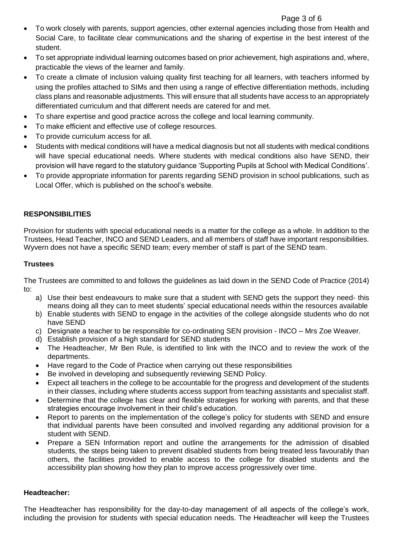## Page 3 of 6

- To work closely with parents, support agencies, other external agencies including those from Health and Social Care, to facilitate clear communications and the sharing of expertise in the best interest of the student.
- To set appropriate individual learning outcomes based on prior achievement, high aspirations and, where, practicable the views of the learner and family.
- To create a climate of inclusion valuing quality first teaching for all learners, with teachers informed by using the profiles attached to SIMs and then using a range of effective differentiation methods, including class plans and reasonable adjustments. This will ensure that all students have access to an appropriately differentiated curriculum and that different needs are catered for and met.
- To share expertise and good practice across the college and local learning community.
- To make efficient and effective use of college resources.
- To provide curriculum access for all.
- Students with medical conditions will have a medical diagnosis but not all students with medical conditions will have special educational needs. Where students with medical conditions also have SEND, their provision will have regard to the statutory guidance 'Supporting Pupils at School with Medical Conditions'.
- To provide appropriate information for parents regarding SEND provision in school publications, such as Local Offer, which is published on the school's website.

# **RESPONSIBILITIES**

Provision for students with special educational needs is a matter for the college as a whole. In addition to the Trustees, Head Teacher, INCO and SEND Leaders, and all members of staff have important responsibilities. Wyvern does not have a specific SEND team; every member of staff is part of the SEND team.

## **Trustees**

The Trustees are committed to and follows the guidelines as laid down in the SEND Code of Practice (2014) to:

- a) Use their best endeavours to make sure that a student with SEND gets the support they need- this means doing all they can to meet students' special educational needs within the resources available
- b) Enable students with SEND to engage in the activities of the college alongside students who do not have SEND
- c) Designate a teacher to be responsible for co-ordinating SEN provision INCO Mrs Zoe Weaver.
- d) Establish provision of a high standard for SEND students
- The Headteacher, Mr Ben Rule, is identified to link with the INCO and to review the work of the departments.
- Have regard to the Code of Practice when carrying out these responsibilities
- Be involved in developing and subsequently reviewing SEND Policy.
- Expect all teachers in the college to be accountable for the progress and development of the students in their classes, including where students access support from teaching assistants and specialist staff.
- Determine that the college has clear and flexible strategies for working with parents, and that these strategies encourage involvement in their child's education.
- Report to parents on the implementation of the college's policy for students with SEND and ensure that individual parents have been consulted and involved regarding any additional provision for a student with SEND.
- Prepare a SEN Information report and outline the arrangements for the admission of disabled students, the steps being taken to prevent disabled students from being treated less favourably than others, the facilities provided to enable access to the college for disabled students and the accessibility plan showing how they plan to improve access progressively over time.

#### **Headteacher:**

The Headteacher has responsibility for the day-to-day management of all aspects of the college's work, including the provision for students with special education needs. The Headteacher will keep the Trustees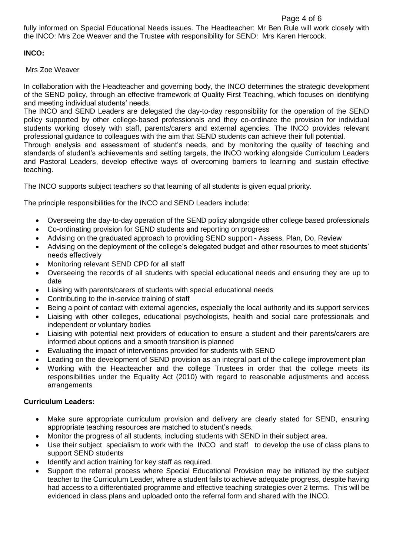fully informed on Special Educational Needs issues. The Headteacher: Mr Ben Rule will work closely with the INCO: Mrs Zoe Weaver and the Trustee with responsibility for SEND: Mrs Karen Hercock.

# **INCO:**

Mrs Zoe Weaver

In collaboration with the Headteacher and governing body, the INCO determines the strategic development of the SEND policy, through an effective framework of Quality First Teaching, which focuses on identifying and meeting individual students' needs.

The INCO and SEND Leaders are delegated the day-to-day responsibility for the operation of the SEND policy supported by other college-based professionals and they co-ordinate the provision for individual students working closely with staff, parents/carers and external agencies. The INCO provides relevant professional guidance to colleagues with the aim that SEND students can achieve their full potential.

Through analysis and assessment of student's needs, and by monitoring the quality of teaching and standards of student's achievements and setting targets, the INCO working alongside Curriculum Leaders and Pastoral Leaders, develop effective ways of overcoming barriers to learning and sustain effective teaching.

The INCO supports subject teachers so that learning of all students is given equal priority.

The principle responsibilities for the INCO and SEND Leaders include:

- Overseeing the day-to-day operation of the SEND policy alongside other college based professionals
- Co-ordinating provision for SEND students and reporting on progress
- Advising on the graduated approach to providing SEND support Assess, Plan, Do, Review
- Advising on the deployment of the college's delegated budget and other resources to meet students' needs effectively
- Monitoring relevant SEND CPD for all staff
- Overseeing the records of all students with special educational needs and ensuring they are up to date
- Liaising with parents/carers of students with special educational needs
- Contributing to the in-service training of staff
- Being a point of contact with external agencies, especially the local authority and its support services
- Liaising with other colleges, educational psychologists, health and social care professionals and independent or voluntary bodies
- Liaising with potential next providers of education to ensure a student and their parents/carers are informed about options and a smooth transition is planned
- Evaluating the impact of interventions provided for students with SEND
- Leading on the development of SEND provision as an integral part of the college improvement plan
- Working with the Headteacher and the college Trustees in order that the college meets its responsibilities under the Equality Act (2010) with regard to reasonable adjustments and access arrangements

#### **Curriculum Leaders:**

- Make sure appropriate curriculum provision and delivery are clearly stated for SEND, ensuring appropriate teaching resources are matched to student's needs.
- Monitor the progress of all students, including students with SEND in their subject area.
- Use their subject specialism to work with the INCO and staff to develop the use of class plans to support SEND students
- Identify and action training for key staff as required.
- Support the referral process where Special Educational Provision may be initiated by the subject teacher to the Curriculum Leader, where a student fails to achieve adequate progress, despite having had access to a differentiated programme and effective teaching strategies over 2 terms. This will be evidenced in class plans and uploaded onto the referral form and shared with the INCO.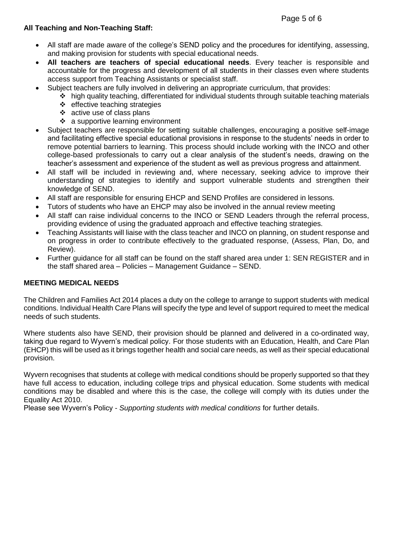# **All Teaching and Non-Teaching Staff:**

- All staff are made aware of the college's SEND policy and the procedures for identifying, assessing, and making provision for students with special educational needs.
- **All teachers are teachers of special educational needs**. Every teacher is responsible and accountable for the progress and development of all students in their classes even where students access support from Teaching Assistants or specialist staff.
	- Subject teachers are fully involved in delivering an appropriate curriculum, that provides:
		- ❖ high quality teaching, differentiated for individual students through suitable teaching materials
		- ❖ effective teaching strategies
		- ❖ active use of class plans
		- ❖ a supportive learning environment
- Subject teachers are responsible for setting suitable challenges, encouraging a positive self-image and facilitating effective special educational provisions in response to the students' needs in order to remove potential barriers to learning. This process should include working with the INCO and other college-based professionals to carry out a clear analysis of the student's needs, drawing on the teacher's assessment and experience of the student as well as previous progress and attainment.
- All staff will be included in reviewing and, where necessary, seeking advice to improve their understanding of strategies to identify and support vulnerable students and strengthen their knowledge of SEND.
- All staff are responsible for ensuring EHCP and SEND Profiles are considered in lessons.
- Tutors of students who have an EHCP may also be involved in the annual review meeting
- All staff can raise individual concerns to the INCO or SEND Leaders through the referral process, providing evidence of using the graduated approach and effective teaching strategies.
- Teaching Assistants will liaise with the class teacher and INCO on planning, on student response and on progress in order to contribute effectively to the graduated response, (Assess, Plan, Do, and Review).
- Further guidance for all staff can be found on the staff shared area under 1: SEN REGISTER and in the staff shared area – Policies – Management Guidance – SEND.

# **MEETING MEDICAL NEEDS**

The Children and Families Act 2014 places a duty on the college to arrange to support students with medical conditions. Individual Health Care Plans will specify the type and level of support required to meet the medical needs of such students.

Where students also have SEND, their provision should be planned and delivered in a co-ordinated way, taking due regard to Wyvern's medical policy. For those students with an Education, Health, and Care Plan (EHCP) this will be used as it brings together health and social care needs, as well as their special educational provision.

Wyvern recognises that students at college with medical conditions should be properly supported so that they have full access to education, including college trips and physical education. Some students with medical conditions may be disabled and where this is the case, the college will comply with its duties under the Equality Act 2010.

Please see Wyvern's Policy - *Supporting students with medical conditions* for further details.